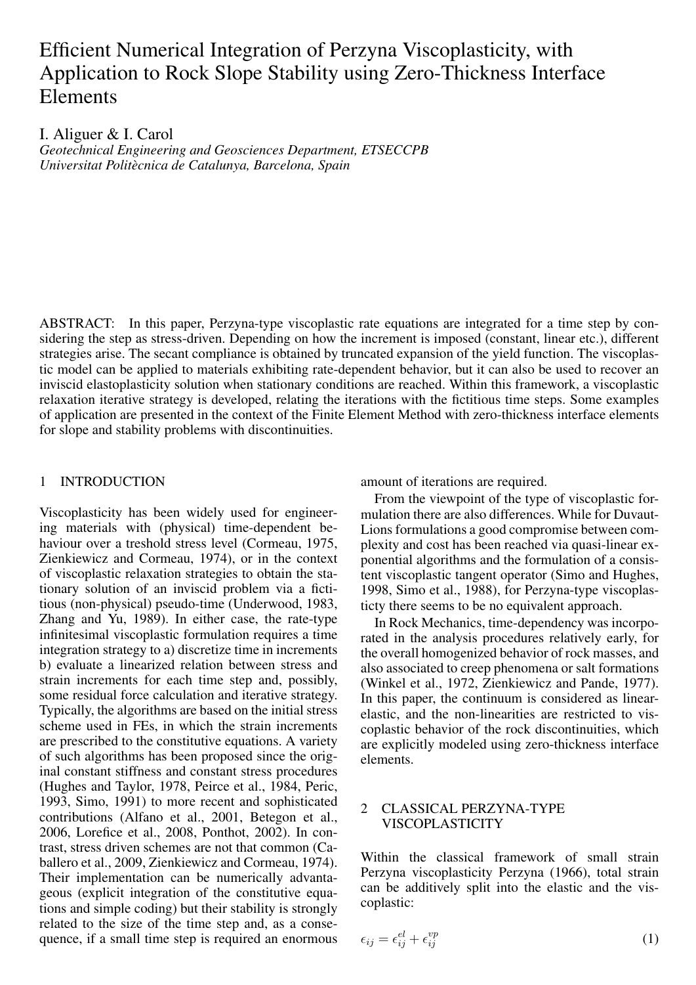# Efficient Numerical Integration of Perzyna Viscoplasticity, with Application to Rock Slope Stability using Zero-Thickness Interface Elements

I. Aliguer & I. Carol

*Geotechnical Engineering and Geosciences Department, ETSECCPB Universitat Politecnica de Catalunya, Barcelona, Spain `*

ABSTRACT: In this paper, Perzyna-type viscoplastic rate equations are integrated for a time step by considering the step as stress-driven. Depending on how the increment is imposed (constant, linear etc.), different strategies arise. The secant compliance is obtained by truncated expansion of the yield function. The viscoplastic model can be applied to materials exhibiting rate-dependent behavior, but it can also be used to recover an inviscid elastoplasticity solution when stationary conditions are reached. Within this framework, a viscoplastic relaxation iterative strategy is developed, relating the iterations with the fictitious time steps. Some examples of application are presented in the context of the Finite Element Method with zero-thickness interface elements for slope and stability problems with discontinuities.

## 1 INTRODUCTION

Viscoplasticity has been widely used for engineering materials with (physical) time-dependent behaviour over a treshold stress level (Cormeau, 1975, Zienkiewicz and Cormeau, 1974), or in the context of viscoplastic relaxation strategies to obtain the stationary solution of an inviscid problem via a fictitious (non-physical) pseudo-time (Underwood, 1983, Zhang and Yu, 1989). In either case, the rate-type infinitesimal viscoplastic formulation requires a time integration strategy to a) discretize time in increments b) evaluate a linearized relation between stress and strain increments for each time step and, possibly, some residual force calculation and iterative strategy. Typically, the algorithms are based on the initial stress scheme used in FEs, in which the strain increments are prescribed to the constitutive equations. A variety of such algorithms has been proposed since the original constant stiffness and constant stress procedures (Hughes and Taylor, 1978, Peirce et al., 1984, Peric, 1993, Simo, 1991) to more recent and sophisticated contributions (Alfano et al., 2001, Betegon et al., 2006, Lorefice et al., 2008, Ponthot, 2002). In contrast, stress driven schemes are not that common (Caballero et al., 2009, Zienkiewicz and Cormeau, 1974). Their implementation can be numerically advantageous (explicit integration of the constitutive equations and simple coding) but their stability is strongly related to the size of the time step and, as a consequence, if a small time step is required an enormous

amount of iterations are required.

From the viewpoint of the type of viscoplastic formulation there are also differences. While for Duvaut-Lions formulations a good compromise between complexity and cost has been reached via quasi-linear exponential algorithms and the formulation of a consistent viscoplastic tangent operator (Simo and Hughes, 1998, Simo et al., 1988), for Perzyna-type viscoplasticty there seems to be no equivalent approach.

In Rock Mechanics, time-dependency was incorporated in the analysis procedures relatively early, for the overall homogenized behavior of rock masses, and also associated to creep phenomena or salt formations (Winkel et al., 1972, Zienkiewicz and Pande, 1977). In this paper, the continuum is considered as linearelastic, and the non-linearities are restricted to viscoplastic behavior of the rock discontinuities, which are explicitly modeled using zero-thickness interface elements.

# 2 CLASSICAL PERZYNA-TYPE VISCOPLASTICITY

Within the classical framework of small strain Perzyna viscoplasticity Perzyna (1966), total strain can be additively split into the elastic and the viscoplastic:

$$
\epsilon_{ij} = \epsilon_{ij}^{el} + \epsilon_{ij}^{vp} \tag{1}
$$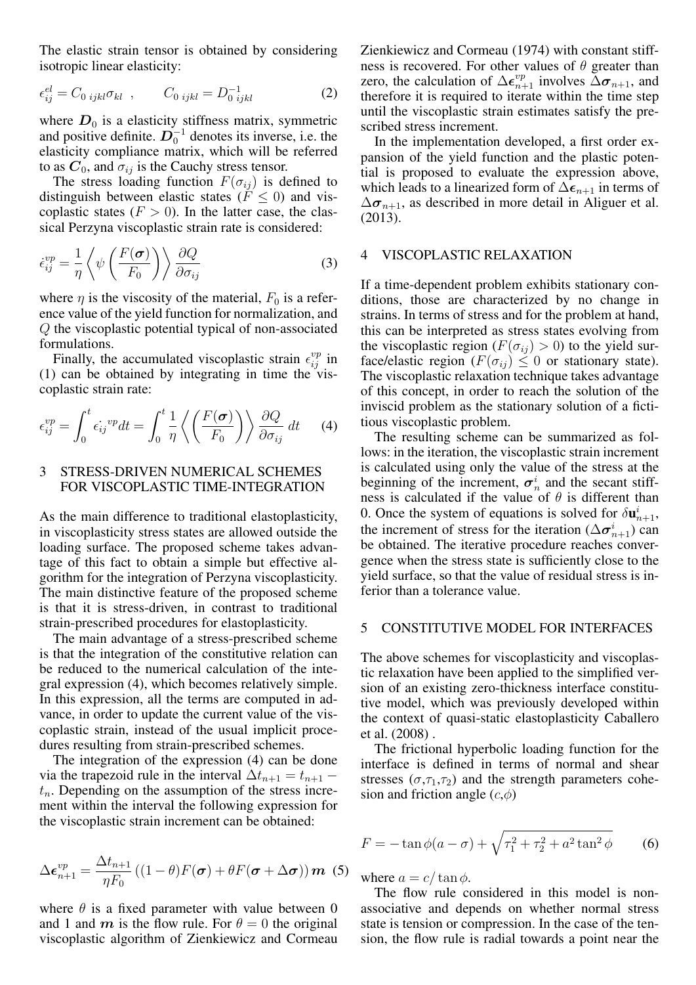The elastic strain tensor is obtained by considering isotropic linear elasticity:

$$
\epsilon_{ij}^{el} = C_{0\ ijkl} \sigma_{kl} \ , \qquad C_{0\ ijkl} = D_{0\ ijkl}^{-1} \tag{2}
$$

where  $D_0$  is a elasticity stiffness matrix, symmetric and positive definite.  $\overline{D}_0^{-1}$  denotes its inverse, i.e. the elasticity compliance matrix, which will be referred to as  $C_0$ , and  $\sigma_{ij}$  is the Cauchy stress tensor.

The stress loading function  $F(\sigma_{ij})$  is defined to distinguish between elastic states ( $\bar{F} \leq 0$ ) and viscoplastic states  $(F > 0)$ . In the latter case, the classical Perzyna viscoplastic strain rate is considered:

$$
\dot{\epsilon}_{ij}^{vp} = \frac{1}{\eta} \left\langle \psi \left( \frac{F(\boldsymbol{\sigma})}{F_0} \right) \right\rangle \frac{\partial Q}{\partial \sigma_{ij}} \tag{3}
$$

where  $\eta$  is the viscosity of the material,  $F_0$  is a reference value of the yield function for normalization, and Q the viscoplastic potential typical of non-associated formulations.

Finally, the accumulated viscoplastic strain  $\epsilon_{ij}^{vp}$  in (1) can be obtained by integrating in time the viscoplastic strain rate:

$$
\epsilon_{ij}^{vp} = \int_0^t \epsilon_{ij}^{vp} dt = \int_0^t \frac{1}{\eta} \left\langle \left(\frac{F(\sigma)}{F_0}\right) \right\rangle \frac{\partial Q}{\partial \sigma_{ij}} dt \qquad (4)
$$

## 3 STRESS-DRIVEN NUMERICAL SCHEMES FOR VISCOPLASTIC TIME-INTEGRATION

As the main difference to traditional elastoplasticity, in viscoplasticity stress states are allowed outside the loading surface. The proposed scheme takes advantage of this fact to obtain a simple but effective algorithm for the integration of Perzyna viscoplasticity. The main distinctive feature of the proposed scheme is that it is stress-driven, in contrast to traditional strain-prescribed procedures for elastoplasticity.

The main advantage of a stress-prescribed scheme is that the integration of the constitutive relation can be reduced to the numerical calculation of the integral expression (4), which becomes relatively simple. In this expression, all the terms are computed in advance, in order to update the current value of the viscoplastic strain, instead of the usual implicit procedures resulting from strain-prescribed schemes.

The integration of the expression (4) can be done via the trapezoid rule in the interval  $\Delta t_{n+1} = t_{n+1}$  –  $t_n$ . Depending on the assumption of the stress increment within the interval the following expression for the viscoplastic strain increment can be obtained:

$$
\Delta \boldsymbol{\epsilon}_{n+1}^{vp} = \frac{\Delta t_{n+1}}{\eta F_0} \left( (1 - \theta) F(\boldsymbol{\sigma}) + \theta F(\boldsymbol{\sigma} + \Delta \boldsymbol{\sigma}) \right) \boldsymbol{m}
$$
 (5)

where  $\theta$  is a fixed parameter with value between 0 and 1 and m is the flow rule. For  $\theta = 0$  the original viscoplastic algorithm of Zienkiewicz and Cormeau Zienkiewicz and Cormeau (1974) with constant stiffness is recovered. For other values of  $\theta$  greater than zero, the calculation of  $\Delta \epsilon_{n+1}^{vp}$  involves  $\Delta \sigma_{n+1}$ , and therefore it is required to iterate within the time step until the viscoplastic strain estimates satisfy the prescribed stress increment.

In the implementation developed, a first order expansion of the yield function and the plastic potential is proposed to evaluate the expression above, which leads to a linearized form of  $\Delta \epsilon_{n+1}$  in terms of  $\Delta \sigma_{n+1}$ , as described in more detail in Aliguer et al. (2013).

## 4 VISCOPLASTIC RELAXATION

If a time-dependent problem exhibits stationary conditions, those are characterized by no change in strains. In terms of stress and for the problem at hand, this can be interpreted as stress states evolving from the viscoplastic region ( $F(\sigma_{ij}) > 0$ ) to the yield surface/elastic region ( $F(\sigma_{ij}) \leq 0$  or stationary state). The viscoplastic relaxation technique takes advantage of this concept, in order to reach the solution of the inviscid problem as the stationary solution of a fictitious viscoplastic problem.

The resulting scheme can be summarized as follows: in the iteration, the viscoplastic strain increment is calculated using only the value of the stress at the beginning of the increment,  $\sigma_n^i$  and the secant stiffness is calculated if the value of  $\theta$  is different than 0. Once the system of equations is solved for  $\delta \mathbf{u}_{n+1}^i$ , the increment of stress for the iteration ( $\Delta \sigma_{n+1}^i$ ) can be obtained. The iterative procedure reaches convergence when the stress state is sufficiently close to the yield surface, so that the value of residual stress is inferior than a tolerance value.

## 5 CONSTITUTIVE MODEL FOR INTERFACES

The above schemes for viscoplasticity and viscoplastic relaxation have been applied to the simplified version of an existing zero-thickness interface constitutive model, which was previously developed within the context of quasi-static elastoplasticity Caballero et al. (2008) .

The frictional hyperbolic loading function for the interface is defined in terms of normal and shear stresses ( $\sigma$ , $\tau$ <sub>1</sub>, $\tau$ <sub>2</sub>) and the strength parameters cohesion and friction angle  $(c, \phi)$ 

$$
F = -\tan\phi(a-\sigma) + \sqrt{\tau_1^2 + \tau_2^2 + a^2 \tan^2\phi}
$$
 (6)

where  $a = c/\tan \phi$ .

The flow rule considered in this model is nonassociative and depends on whether normal stress state is tension or compression. In the case of the tension, the flow rule is radial towards a point near the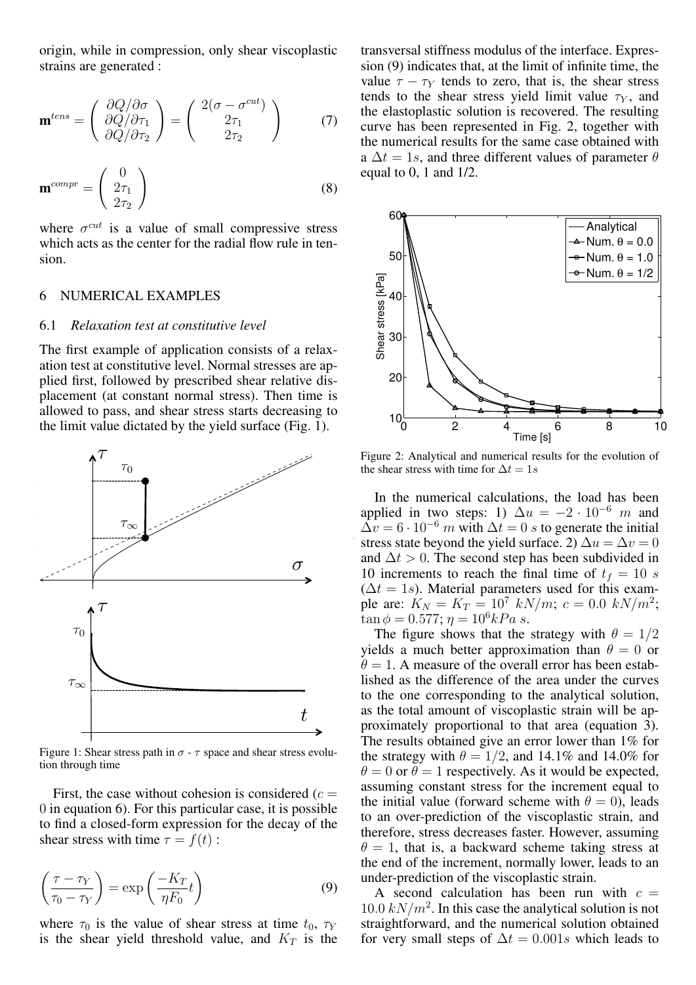origin, while in compression, only shear viscoplastic strains are generated :

$$
\mathbf{m}^{tens} = \begin{pmatrix} \frac{\partial Q}{\partial \sigma} \\ \frac{\partial Q}{\partial \tau_1} \\ \frac{\partial Q}{\partial \tau_2} \end{pmatrix} = \begin{pmatrix} 2(\sigma - \sigma^{cut}) \\ 2\tau_1 \\ 2\tau_2 \end{pmatrix}
$$
(7)

$$
\mathbf{m}^{compr} = \begin{pmatrix} 0 \\ 2\tau_1 \\ 2\tau_2 \end{pmatrix} \tag{8}
$$

where  $\sigma^{cut}$  is a value of small compressive stress which acts as the center for the radial flow rule in tension.

#### 6 NUMERICAL EXAMPLES

#### 6.1 *Relaxation test at constitutive level*

The first example of application consists of a relaxation test at constitutive level. Normal stresses are applied first, followed by prescribed shear relative displacement (at constant normal stress). Then time is allowed to pass, and shear stress starts decreasing to the limit value dictated by the yield surface (Fig. 1).



Figure 1: Shear stress path in  $\sigma$  -  $\tau$  space and shear stress evolution through time

First, the case without cohesion is considered  $(c =$ 0 in equation 6). For this particular case, it is possible to find a closed-form expression for the decay of the shear stress with time  $\tau = f(t)$ :

$$
\left(\frac{\tau - \tau_Y}{\tau_0 - \tau_Y}\right) = \exp\left(\frac{-K_T}{\eta F_0}t\right) \tag{9}
$$

where  $\tau_0$  is the value of shear stress at time  $t_0$ ,  $\tau_Y$ is the shear yield threshold value, and  $K_T$  is the transversal stiffness modulus of the interface. Expression (9) indicates that, at the limit of infinite time, the value  $\tau - \tau_Y$  tends to zero, that is, the shear stress tends to the shear stress yield limit value  $\tau_Y$ , and the elastoplastic solution is recovered. The resulting curve has been represented in Fig. 2, together with the numerical results for the same case obtained with a  $\Delta t = 1s$ , and three different values of parameter  $\theta$ equal to 0, 1 and 1/2.



Figure 2: Analytical and numerical results for the evolution of the shear stress with time for  $\Delta t = 1s$ 

In the numerical calculations, the load has been applied in two steps: 1)  $\Delta u = -2 \cdot 10^{-6}$  m and  $\Delta v = 6 \cdot 10^{-6}$  m with  $\Delta t = 0$  s to generate the initial stress state beyond the yield surface. 2)  $\Delta u = \Delta v = 0$ and  $\Delta t > 0$ . The second step has been subdivided in 10 increments to reach the final time of  $t_f = 10$  s  $(\Delta t = 1s)$ . Material parameters used for this example are:  $K_N = K_T = 10^7 \, kN/m$ ;  $c = 0.0 \, kN/m^2$ ;  $\tan \phi = 0.577; \eta = 10^6 kPa \ s.$ 

The figure shows that the strategy with  $\theta = 1/2$ yields a much better approximation than  $\theta = 0$  or  $\theta = 1$ . A measure of the overall error has been established as the difference of the area under the curves to the one corresponding to the analytical solution, as the total amount of viscoplastic strain will be approximately proportional to that area (equation 3). The results obtained give an error lower than 1% for the strategy with  $\theta = 1/2$ , and 14.1% and 14.0% for  $\theta = 0$  or  $\theta = 1$  respectively. As it would be expected, assuming constant stress for the increment equal to the initial value (forward scheme with  $\theta = 0$ ), leads to an over-prediction of the viscoplastic strain, and therefore, stress decreases faster. However, assuming  $\theta = 1$ , that is, a backward scheme taking stress at the end of the increment, normally lower, leads to an under-prediction of the viscoplastic strain.

A second calculation has been run with  $c =$  $10.0 \, kN/m^2$ . In this case the analytical solution is not straightforward, and the numerical solution obtained for very small steps of  $\Delta t = 0.001s$  which leads to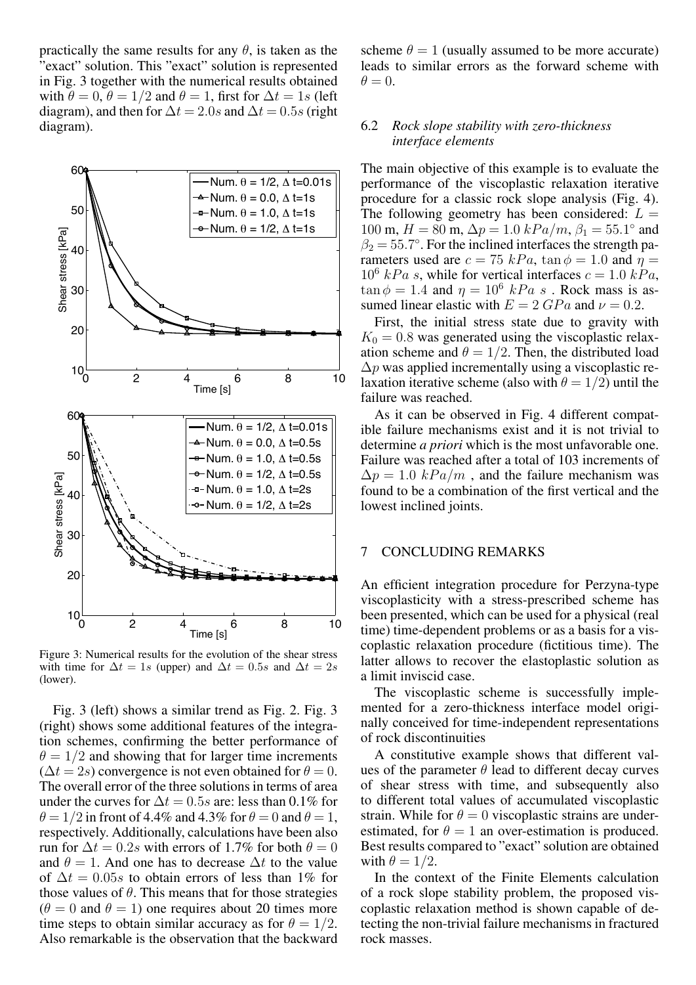practically the same results for any  $\theta$ , is taken as the "exact" solution. This "exact" solution is represented in Fig. 3 together with the numerical results obtained with  $\theta = 0$ ,  $\theta = 1/2$  and  $\theta = 1$ , first for  $\Delta t = 1s$  (left diagram), and then for  $\Delta t = 2.0s$  and  $\Delta t = 0.5s$  (right diagram).



Figure 3: Numerical results for the evolution of the shear stress with time for  $\Delta t = 1s$  (upper) and  $\Delta t = 0.5s$  and  $\Delta t = 2s$ (lower).

Fig. 3 (left) shows a similar trend as Fig. 2. Fig. 3 (right) shows some additional features of the integration schemes, confirming the better performance of  $\theta = 1/2$  and showing that for larger time increments  $(\Delta t = 2s)$  convergence is not even obtained for  $\theta = 0$ . The overall error of the three solutions in terms of area under the curves for  $\Delta t = 0.5s$  are: less than 0.1% for  $\theta = 1/2$  in front of 4.4% and 4.3% for  $\theta = 0$  and  $\theta = 1$ , respectively. Additionally, calculations have been also run for  $\Delta t = 0.2s$  with errors of 1.7% for both  $\theta = 0$ and  $\theta = 1$ . And one has to decrease  $\Delta t$  to the value of  $\Delta t = 0.05s$  to obtain errors of less than 1% for those values of  $\theta$ . This means that for those strategies  $(\theta = 0$  and  $\theta = 1)$  one requires about 20 times more time steps to obtain similar accuracy as for  $\theta = 1/2$ . Also remarkable is the observation that the backward scheme  $\theta = 1$  (usually assumed to be more accurate) leads to similar errors as the forward scheme with  $\theta = 0.$ 

## 6.2 *Rock slope stability with zero-thickness interface elements*

The main objective of this example is to evaluate the performance of the viscoplastic relaxation iterative procedure for a classic rock slope analysis (Fig. 4). The following geometry has been considered:  $L =$ 100 m,  $H = 80$  m,  $\Delta p = 1.0 kPa/m$ ,  $\beta_1 = 55.1^\circ$  and  $\beta_2 = 55.7^\circ$ . For the inclined interfaces the strength parameters used are  $c = 75 kPa$ ,  $\tan \phi = 1.0$  and  $\eta =$  $10^6$  kPa s, while for vertical interfaces  $c = 1.0$  kPa,  $\tan \phi = 1.4$  and  $\eta = 10^6$  kPa s. Rock mass is assumed linear elastic with  $E = 2 GPa$  and  $\nu = 0.2$ .

First, the initial stress state due to gravity with  $K_0 = 0.8$  was generated using the viscoplastic relaxation scheme and  $\theta = 1/2$ . Then, the distributed load  $\Delta p$  was applied incrementally using a viscoplastic relaxation iterative scheme (also with  $\theta = 1/2$ ) until the failure was reached.

As it can be observed in Fig. 4 different compatible failure mechanisms exist and it is not trivial to determine *a priori* which is the most unfavorable one. Failure was reached after a total of 103 increments of  $\Delta p = 1.0 \; kPa/m$ , and the failure mechanism was found to be a combination of the first vertical and the lowest inclined joints.

## 7 CONCLUDING REMARKS

An efficient integration procedure for Perzyna-type viscoplasticity with a stress-prescribed scheme has been presented, which can be used for a physical (real time) time-dependent problems or as a basis for a viscoplastic relaxation procedure (fictitious time). The latter allows to recover the elastoplastic solution as a limit inviscid case.

The viscoplastic scheme is successfully implemented for a zero-thickness interface model originally conceived for time-independent representations of rock discontinuities

A constitutive example shows that different values of the parameter  $\theta$  lead to different decay curves of shear stress with time, and subsequently also to different total values of accumulated viscoplastic strain. While for  $\theta = 0$  viscoplastic strains are underestimated, for  $\theta = 1$  an over-estimation is produced. Best results compared to "exact" solution are obtained with  $\theta = 1/2$ .

In the context of the Finite Elements calculation of a rock slope stability problem, the proposed viscoplastic relaxation method is shown capable of detecting the non-trivial failure mechanisms in fractured rock masses.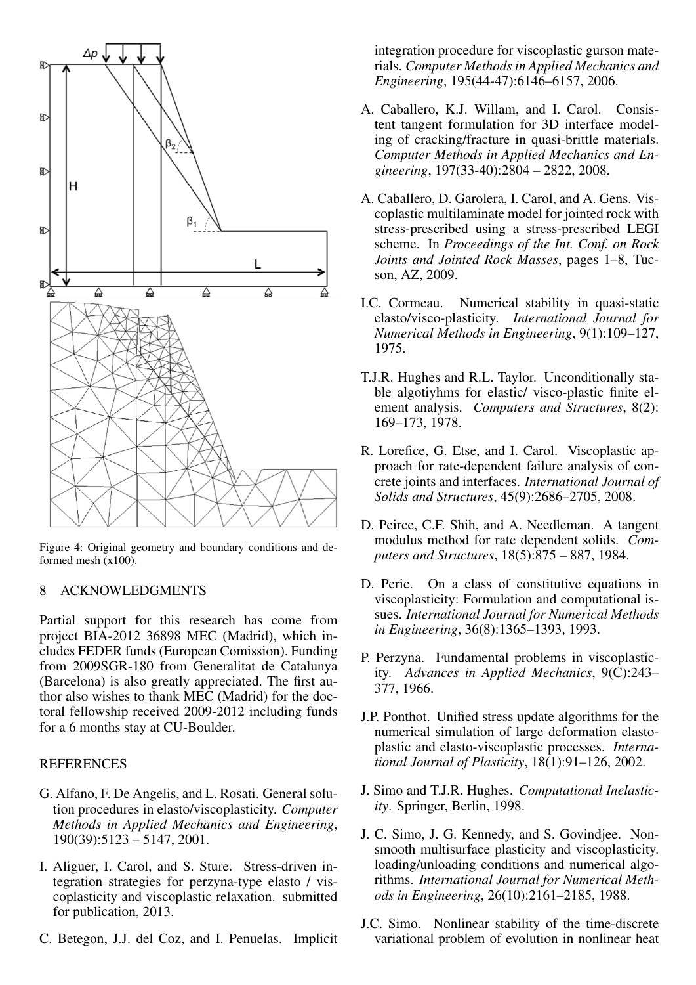

Figure 4: Original geometry and boundary conditions and deformed mesh (x100).

## 8 ACKNOWLEDGMENTS

Partial support for this research has come from project BIA-2012 36898 MEC (Madrid), which includes FEDER funds (European Comission). Funding from 2009SGR-180 from Generalitat de Catalunya (Barcelona) is also greatly appreciated. The first author also wishes to thank MEC (Madrid) for the doctoral fellowship received 2009-2012 including funds for a 6 months stay at CU-Boulder.

## **REFERENCES**

- G. Alfano, F. De Angelis, and L. Rosati. General solution procedures in elasto/viscoplasticity. *Computer Methods in Applied Mechanics and Engineering*, 190(39):5123 – 5147, 2001.
- I. Aliguer, I. Carol, and S. Sture. Stress-driven integration strategies for perzyna-type elasto / viscoplasticity and viscoplastic relaxation. submitted for publication, 2013.
- C. Betegon, J.J. del Coz, and I. Penuelas. Implicit

integration procedure for viscoplastic gurson materials. *Computer Methods in Applied Mechanics and Engineering*, 195(44-47):6146–6157, 2006.

- A. Caballero, K.J. Willam, and I. Carol. Consistent tangent formulation for 3D interface modeling of cracking/fracture in quasi-brittle materials. *Computer Methods in Applied Mechanics and Engineering*, 197(33-40):2804 – 2822, 2008.
- A. Caballero, D. Garolera, I. Carol, and A. Gens. Viscoplastic multilaminate model for jointed rock with stress-prescribed using a stress-prescribed LEGI scheme. In *Proceedings of the Int. Conf. on Rock Joints and Jointed Rock Masses*, pages 1–8, Tucson, AZ, 2009.
- I.C. Cormeau. Numerical stability in quasi-static elasto/visco-plasticity. *International Journal for Numerical Methods in Engineering*, 9(1):109–127, 1975.
- T.J.R. Hughes and R.L. Taylor. Unconditionally stable algotiyhms for elastic/ visco-plastic finite element analysis. *Computers and Structures*, 8(2): 169–173, 1978.
- R. Lorefice, G. Etse, and I. Carol. Viscoplastic approach for rate-dependent failure analysis of concrete joints and interfaces. *International Journal of Solids and Structures*, 45(9):2686–2705, 2008.
- D. Peirce, C.F. Shih, and A. Needleman. A tangent modulus method for rate dependent solids. *Computers and Structures*, 18(5):875 – 887, 1984.
- D. Peric. On a class of constitutive equations in viscoplasticity: Formulation and computational issues. *International Journal for Numerical Methods in Engineering*, 36(8):1365–1393, 1993.
- P. Perzyna. Fundamental problems in viscoplasticity. *Advances in Applied Mechanics*, 9(C):243– 377, 1966.
- J.P. Ponthot. Unified stress update algorithms for the numerical simulation of large deformation elastoplastic and elasto-viscoplastic processes. *International Journal of Plasticity*, 18(1):91–126, 2002.
- J. Simo and T.J.R. Hughes. *Computational Inelasticity*. Springer, Berlin, 1998.
- J. C. Simo, J. G. Kennedy, and S. Govindjee. Nonsmooth multisurface plasticity and viscoplasticity. loading/unloading conditions and numerical algorithms. *International Journal for Numerical Methods in Engineering*, 26(10):2161–2185, 1988.
- J.C. Simo. Nonlinear stability of the time-discrete variational problem of evolution in nonlinear heat